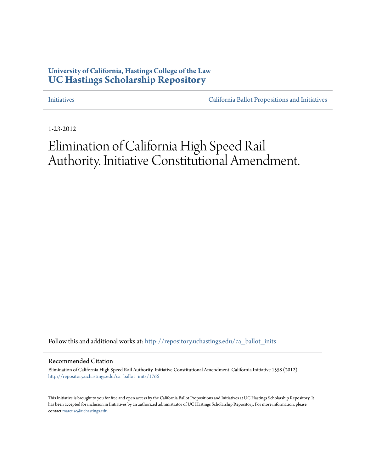## **University of California, Hastings College of the Law [UC Hastings Scholarship Repository](http://repository.uchastings.edu?utm_source=repository.uchastings.edu%2Fca_ballot_inits%2F1766&utm_medium=PDF&utm_campaign=PDFCoverPages)**

[Initiatives](http://repository.uchastings.edu/ca_ballot_inits?utm_source=repository.uchastings.edu%2Fca_ballot_inits%2F1766&utm_medium=PDF&utm_campaign=PDFCoverPages) [California Ballot Propositions and Initiatives](http://repository.uchastings.edu/ca_ballots?utm_source=repository.uchastings.edu%2Fca_ballot_inits%2F1766&utm_medium=PDF&utm_campaign=PDFCoverPages)

1-23-2012

# Elimination of California High Speed Rail Authority. Initiative Constitutional Amendment.

Follow this and additional works at: [http://repository.uchastings.edu/ca\\_ballot\\_inits](http://repository.uchastings.edu/ca_ballot_inits?utm_source=repository.uchastings.edu%2Fca_ballot_inits%2F1766&utm_medium=PDF&utm_campaign=PDFCoverPages)

Recommended Citation

Elimination of California High Speed Rail Authority. Initiative Constitutional Amendment. California Initiative 1558 (2012). [http://repository.uchastings.edu/ca\\_ballot\\_inits/1766](http://repository.uchastings.edu/ca_ballot_inits/1766?utm_source=repository.uchastings.edu%2Fca_ballot_inits%2F1766&utm_medium=PDF&utm_campaign=PDFCoverPages)

This Initiative is brought to you for free and open access by the California Ballot Propositions and Initiatives at UC Hastings Scholarship Repository. It has been accepted for inclusion in Initiatives by an authorized administrator of UC Hastings Scholarship Repository. For more information, please contact [marcusc@uchastings.edu](mailto:marcusc@uchastings.edu).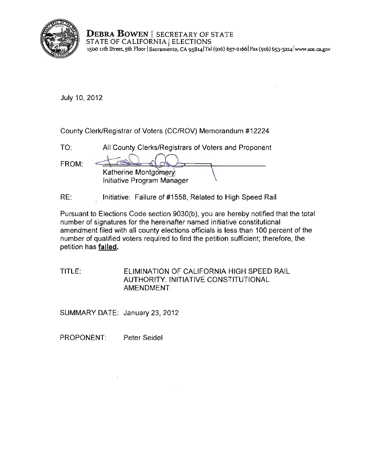

**DEBRA BOWEN** | SECRETARY OF STATE STATE OF CALIFORNIA | ELECTIONS **1500 11th Street. 5th Floor ISacramento, CA 9S8141Te1 (916) 657-21661Fax (916) 6s3-32l4lwww.sos.ca.gov** 

July 10, 2012

County Clerk/Registrar of Voters (CC/ROV) Memorandum #12224

| TO:   | All County Clerks/Registrars of Voters and Proponent |  |
|-------|------------------------------------------------------|--|
| FROM: | Katherine Montgomery<br>Initiative Program Manager   |  |

RE: Initiative: Failure of #1558, Related to High Speed Rail

Pursuant to Elections Code section 9030(b), you are hereby notified that the total number of signatures for the hereinafter named initiative constitutional amendment filed with all county elections officials is less than 100 percent of the number of qualified voters required to find the petition sufficient; therefore, the petition has failed.

TITLE: ELIMINATION OF CALIFORNIA HIGH SPEED RAIL AUTHORITY. INITIATIVE CONSTITUTIONAL AMENDMENT.

SUMMARY DATE: January 23, 2012

PROPONENT: Peter Seidel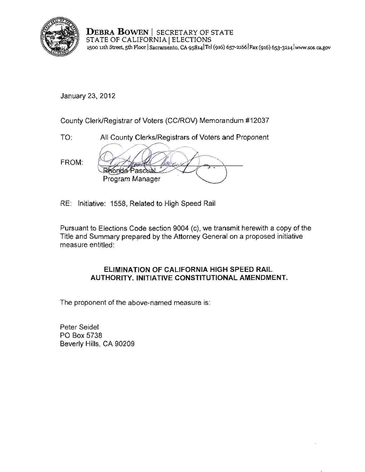

**DEBRA BOWEN** I SECRETARY OF STATE STATE OF CALIFORNIA | ELECTIONS **1500 lith Street, 5th Floor ISacramento, CA 9s8141Tei (916)** 657-2166)Fax (916) **653-32I4[iwww.sos.cagov](www.sos.ca.gov)** 

January 23,2012

County Clerk/Registrar of Voters (CC/ROV) Memorandum #12037

TO: All County Clerks/Registrars of Voters and Proponent

FROM:

**Rhonda** Pasco Program Manager

RE: Initiative: 1558, Related to High Speed Rail

Pursuant to Elections Code section 9004 (c), we transmit herewith a copy of the Title and Summary prepared by the Attorney General on a proposed initiative measure entitled:

#### **ELIMINATION OF CALIFORNIA** HIGH **SPEED RAIL AUTHORITY. INITIATIVE CONSTITUTIONAL AMENDMENT.**

The proponent of the above-named measure is:

Peter Seidel PO Box 5738 Beverly Hills, CA 90209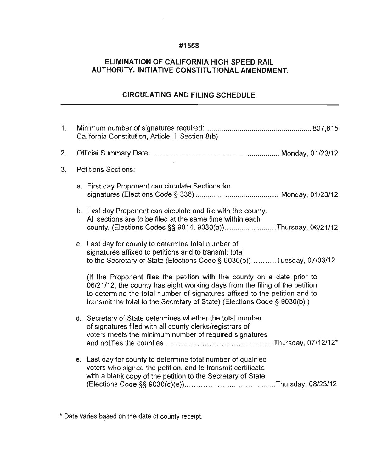#### **#1558**

### **ELIMINATION OF CALIFORNIA HIGH SPEED RAIL AUTHORITY. INITIATIVE CONSTITUTIONAL AMENDMENT.**

## **CIRCULATING AND FILING SCHEDULE**

| California Constitution, Article II, Section 8(b) |                                                                                                                                                                                                                                                                                                                   |  |
|---------------------------------------------------|-------------------------------------------------------------------------------------------------------------------------------------------------------------------------------------------------------------------------------------------------------------------------------------------------------------------|--|
|                                                   |                                                                                                                                                                                                                                                                                                                   |  |
|                                                   | <b>Petitions Sections:</b>                                                                                                                                                                                                                                                                                        |  |
|                                                   | a. First day Proponent can circulate Sections for                                                                                                                                                                                                                                                                 |  |
|                                                   | b. Last day Proponent can circulate and file with the county.<br>All sections are to be filed at the same time within each<br>county. (Elections Codes §§ 9014, 9030(a))Thursday, 06/21/12                                                                                                                        |  |
|                                                   | c. Last day for county to determine total number of<br>signatures affixed to petitions and to transmit total<br>to the Secretary of State (Elections Code § 9030(b))Tuesday, 07/03/12                                                                                                                             |  |
|                                                   | (If the Proponent files the petition with the county on a date prior to<br>06/21/12, the county has eight working days from the filing of the petition<br>to determine the total number of signatures affixed to the petition and to<br>transmit the total to the Secretary of State) (Elections Code § 9030(b).) |  |
|                                                   | d. Secretary of State determines whether the total number<br>of signatures filed with all county clerks/registrars of<br>voters meets the minimum number of required signatures                                                                                                                                   |  |
|                                                   | e. Last day for county to determine total number of qualified<br>voters who signed the petition, and to transmit certificate<br>with a blank copy of the petition to the Secretary of State                                                                                                                       |  |
|                                                   |                                                                                                                                                                                                                                                                                                                   |  |

**\* Date varies based on the date of county receipt.**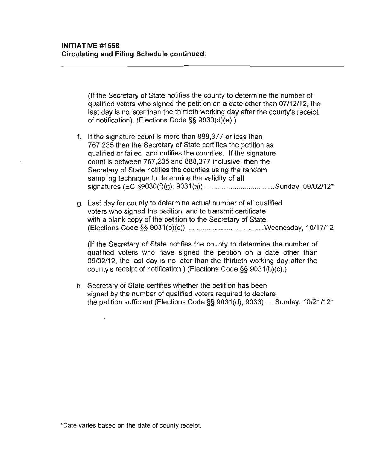**(If** the Secretary **of** State notifies the county to determine the number of qualified voters who signed the petition on a date other than 07/12/12, the last day is no later than the thirtieth working day after the county's receipt of notification). (Elections Code §§ 9030(d)(e).)

- f. **If** the signature count is more than 888,377 or less than 767,235 then the Secretary of State certifies the petition as qualified or failed, and notifies the counties. **If** the signature count is between 767,235 and 888,377 inclusive, then the Secretary of State notifies the counties using the random sampling technique to determine the validity of **all**  signatures (EC §9030(f)(g); 9031 (a)) .................................. Sunday, 09/02/12\*
- g. Last day for county to determine actual number of all qualified voters who signed the petition, and to transmit certificate with a blank copy of the petition to the Secretary of State. (Elections Code §§ 9031(b)(c)) ...................................... .wednesday, 10/17/12

**(If** the Secretary of State notifies the county to determine the number of qualified voters who have signed the petition on a date other than 09/02/12, the last day is **no** later than the thirtieth working day after the county's receipt of notification.) (Elections Code §§ 9031 (b)(c).)

h. Secretary of State certifies whether the petition has been signed by the number of qualified voters required to declare the petition sufficient (Elections Code §§ 9031(d), 9033) . ... Sunday, 10/21112\*

**\*Date varies based on the date of county receipt.**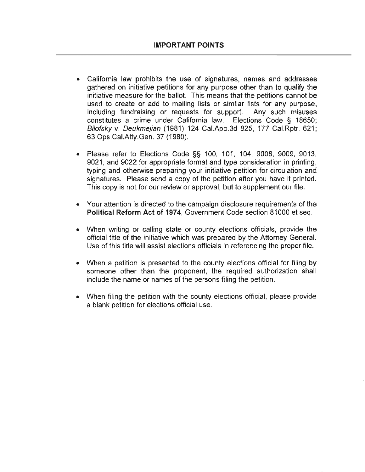- California law prohibits the use of signatures, names and addresses gathered on initiative petitions for any purpose other than to qualify the initiative measure for the ballot. This means that the petitions cannot be used to create or add to mailing lists or similar lists for any purpose, including fundraising or requests for support. Any such misuses constitutes a crime under California law. Elections Code § 18650; Bilofsky v. Deukmejian (1981) 124 Cal.App.3d 825,177 Cal.Rptr. 621; 63 Ops.CaI.Atty.Gen. 37 (1980).
- Please refer to Elections Code §§ 100, 101, 104, 9008, 9009, 9013, 9021, and 9022 for appropriate format and type consideration in printing, typing and otherwise preparing your initiative petition for circulation and signatures. Please send a copy of the petition after you have it printed. This copy is not for our review or approval, but to supplement our file.
- Your attention is directed to the campaign disclosure requirements of the **Political Reform Act of 1974,** Government Code section 81000 et seq.
- When writing or calling state or county elections officials, provide the official title of the initiative which was prepared by the Attorney General. Use of this title will assist elections officials in referencing the proper file.
- When a petition is presented to the county elections official for filing by someone other than the proponent, the required authorization shall include the name or names of the persons filing the petition.
- When filing the petition with the county elections official, please provide a blank petition for elections official use.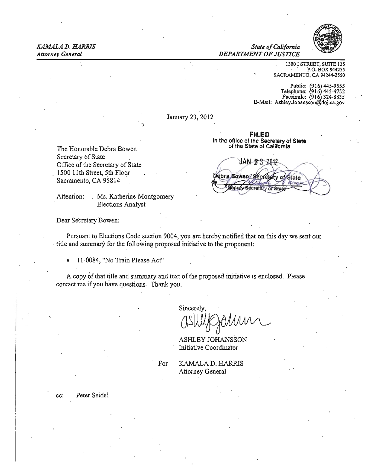

#### *State of California Attorney General DEPARTMENT OF JUSTICE*

1300 I STREET, SUITE 125<br>P.O. BOX 944255 SACRAMENTO, CA 94244·2550

Public: (916) 445-9555<br>Telephone: (916) 445-4752 Facsimile: 916 324-8835 E-Mail: AshleyJohansson@doj.ca.gov

January 23, 2012

FILED In the office of the Secretary of State of the State of California

The Honorable Debra Bowen Secretary of State Office of tbe Secretary of State 1500 11th Street, 5th Floor Sacramento, CA 95814

Attention: Ms. Katherine Montgomery Elections Analyst

 $\mathbf{j}$ 

JAN 23 2012 Pebra Bowen? Sec **State** 

Dear Secretary Bowen:

Pursuant to Elections Code section 9004, you are hereby notified that on this day we sent our . title and summary for the following proposed initiative to the proponent:

• 11-0084, "No Train Please Act"

A copy of that title and summary and text of the proposed initiative is enclosed. Please contact me if you have questions. Thank you,

Sincerely.

 $\alpha$ Shliffsalann

ASHLEY JOHANSSON Initiative Coordinator

For KAMALA D. HARRlS Attorney General

cc: Peter Seidel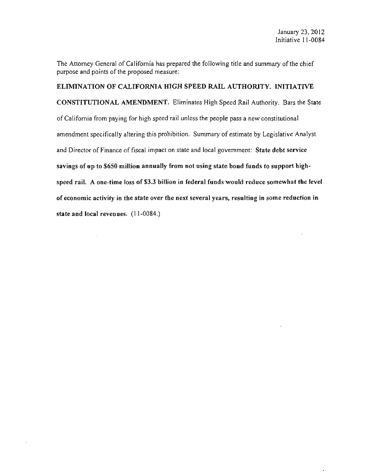The Attorney General of California has prepared the following title and summary of the chief purpose and points of the proposed measure:

#### ELIMINATION OF CALIFORNIA HIGH SPEED RAIL AUTHORITY. INITIATIVE

CONSTITUTIONAL AMENDMENT. Eliminates High Speed Rail Authority. Bars the State of California from paying for high speed rail unless the people pass a new constitutional amendment specifically altering this prohibition. Summary of estimate by Legislative Analyst and Director of Finance of fiscal impact on state and local government: State debt service savings of up to 5650 million annually from not using state bond funds to support highspeed rail. A one-time loss of \$3.3 billion in federal funds would reduce somewhat the level of economic activity in the state over the next several years, resulting in some reduction in state and local revenues. (11-0084.)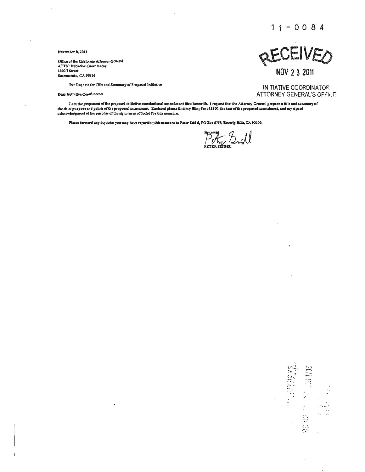$11 - 0084$ 

November 8, 2011

Office of the Cubfornia Attorney General ATTN: Initiative Coordinator 1300 I Street Sacramento, CA 95814

Re: Request for Title and Sumunary of Proposed Initiative

Dear Indiative Coordinator:

**RECEIVED** 

NOV 2 3 2011

INITIATIVE COORDINATOR **ATTORNEY GENERAL'S OFFICE** 

ł.  $\frac{1}{2}$ 怠

**SANCHART CARDS** 

I am the proponent of the proposed initiative constitutional amendment filed herewith. I request that the Attornoy General prepare a title and sununary of the chief purpose and points of the proposed amendment. Enclosed please find my filing fee of \$200, the text of the proposed amendment, and my signed acknowledgment of the purpose of the signatures collected for this measure.

Please forward any inquiries you may hove regarding this measure to Peter Seidel, PO Box 5738, Beverly Hills, CA 90209.

Petry Sull